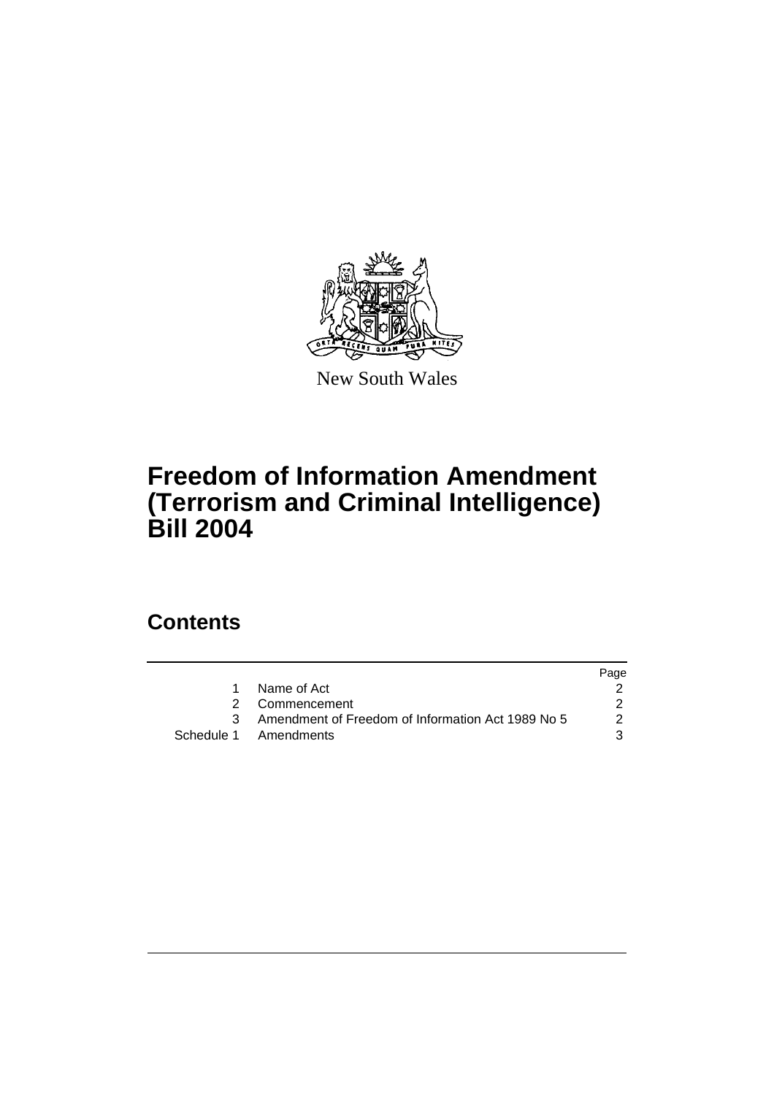

New South Wales

# **Freedom of Information Amendment (Terrorism and Criminal Intelligence) Bill 2004**

# **Contents**

|   |                                                     | Page |
|---|-----------------------------------------------------|------|
| 1 | Name of Act                                         |      |
|   | 2 Commencement                                      |      |
|   | 3 Amendment of Freedom of Information Act 1989 No 5 | 2    |
|   | Schedule 1 Amendments                               |      |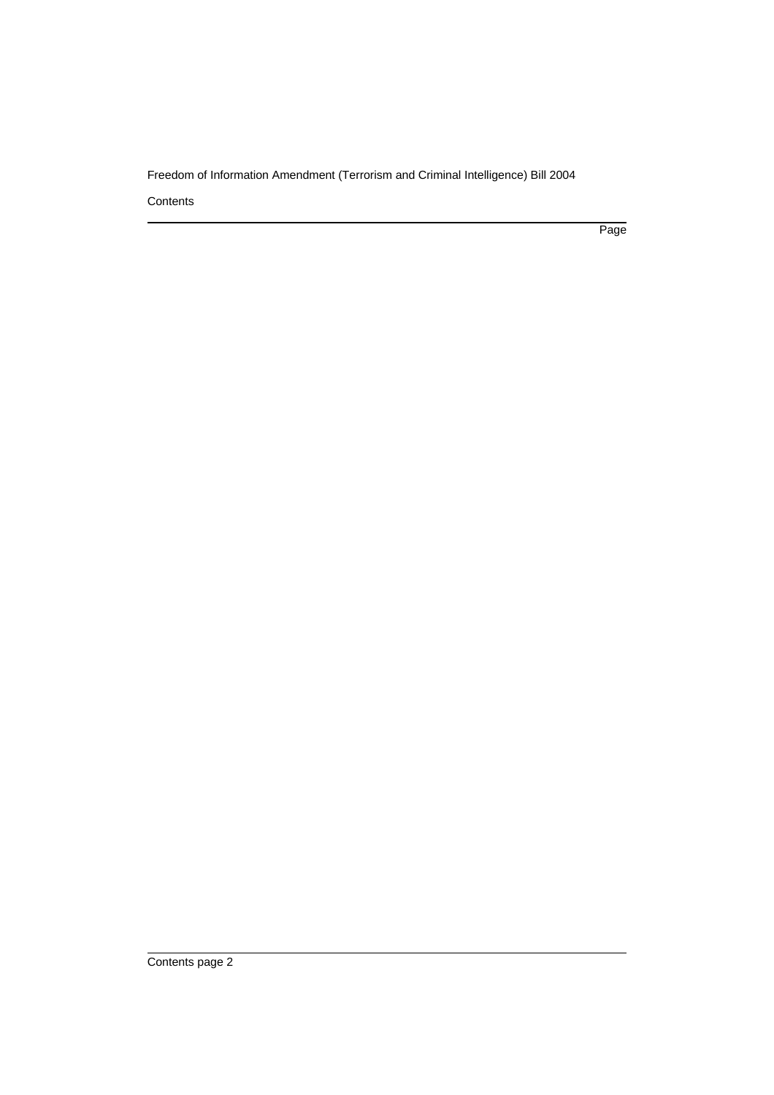Freedom of Information Amendment (Terrorism and Criminal Intelligence) Bill 2004

**Contents** 

Page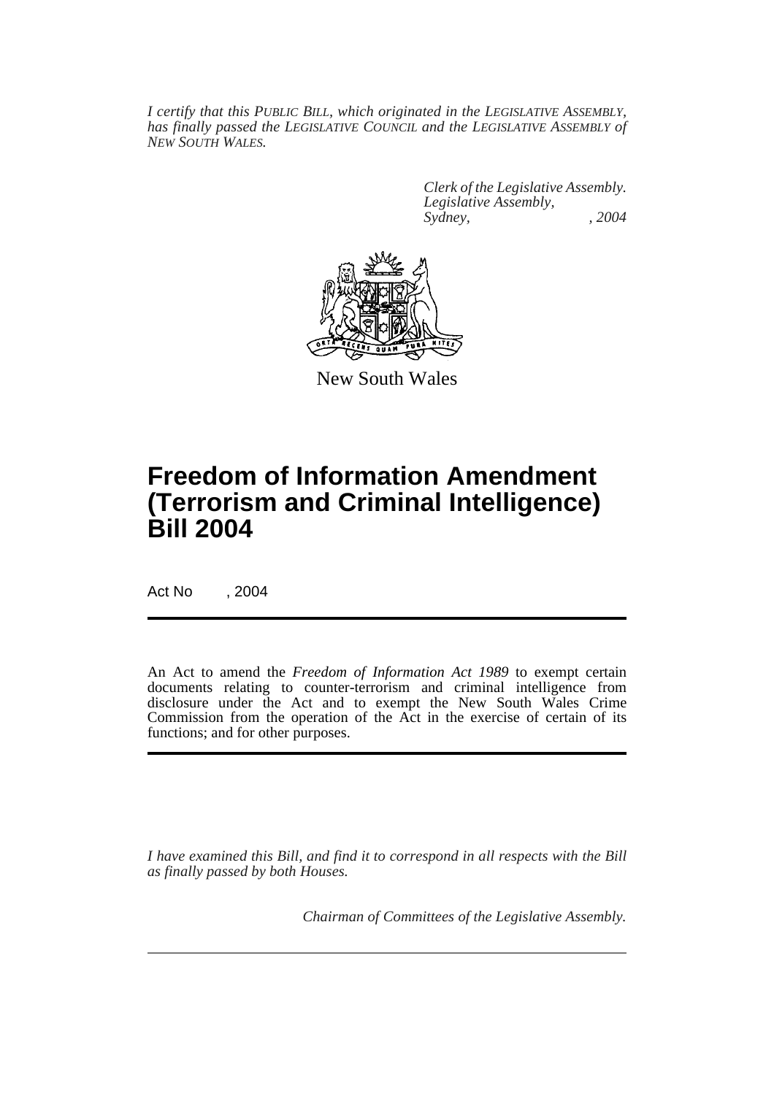*I certify that this PUBLIC BILL, which originated in the LEGISLATIVE ASSEMBLY, has finally passed the LEGISLATIVE COUNCIL and the LEGISLATIVE ASSEMBLY of NEW SOUTH WALES.*

> *Clerk of the Legislative Assembly. Legislative Assembly, Sydney, , 2004*



New South Wales

# **Freedom of Information Amendment (Terrorism and Criminal Intelligence) Bill 2004**

Act No , 2004

An Act to amend the *Freedom of Information Act 1989* to exempt certain documents relating to counter-terrorism and criminal intelligence from disclosure under the Act and to exempt the New South Wales Crime Commission from the operation of the Act in the exercise of certain of its functions; and for other purposes.

*I have examined this Bill, and find it to correspond in all respects with the Bill as finally passed by both Houses.*

*Chairman of Committees of the Legislative Assembly.*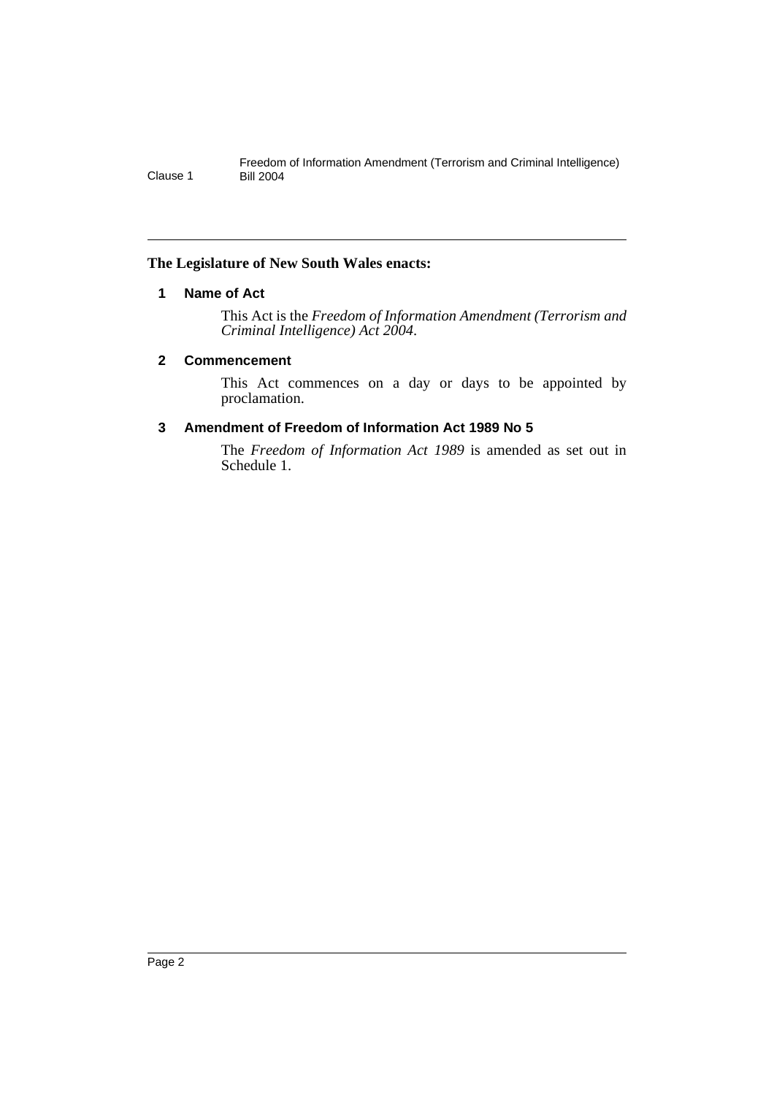## **The Legislature of New South Wales enacts:**

## **1 Name of Act**

This Act is the *Freedom of Information Amendment (Terrorism and Criminal Intelligence) Act 2004*.

### **2 Commencement**

This Act commences on a day or days to be appointed by proclamation.

## **3 Amendment of Freedom of Information Act 1989 No 5**

The *Freedom of Information Act 1989* is amended as set out in Schedule 1.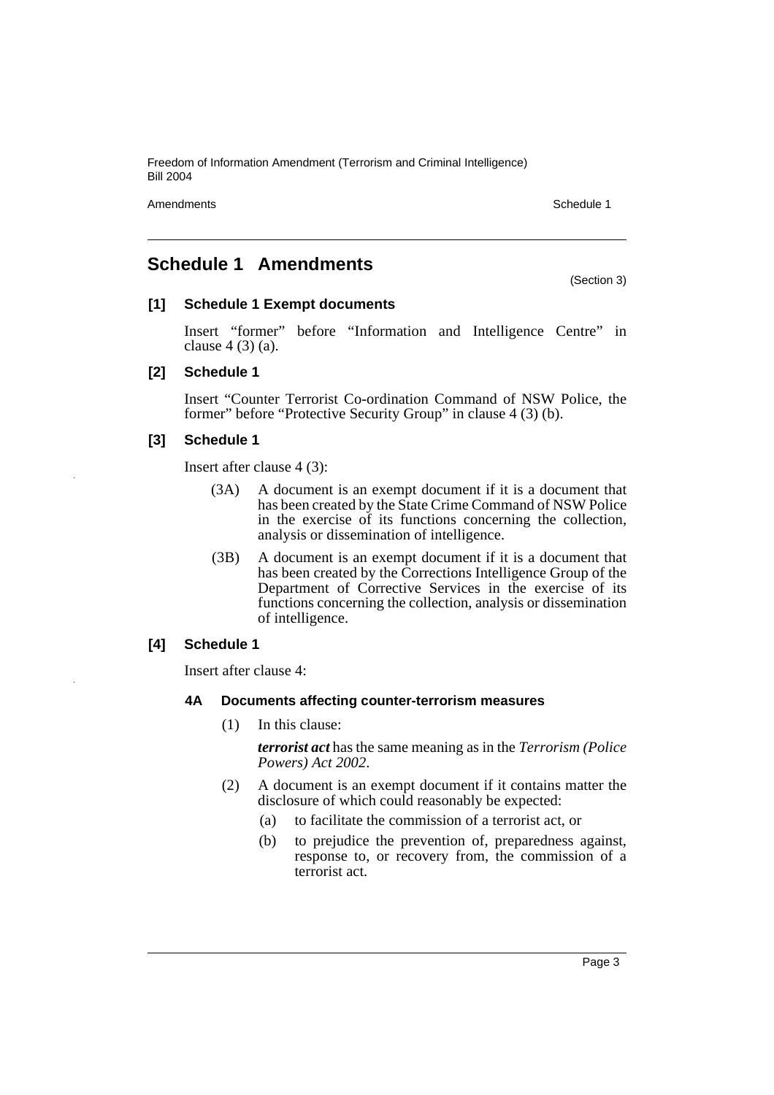Freedom of Information Amendment (Terrorism and Criminal Intelligence) Bill 2004

Amendments **Schedule 1** and the set of the set of the set of the set of the set of the set of the set of the set of the set of the set of the set of the set of the set of the set of the set of the set of the set of the set

# **Schedule 1 Amendments**

(Section 3)

## **[1] Schedule 1 Exempt documents**

Insert "former" before "Information and Intelligence Centre" in clause 4 (3) (a).

## **[2] Schedule 1**

Insert "Counter Terrorist Co-ordination Command of NSW Police, the former" before "Protective Security Group" in clause 4 (3) (b).

#### **[3] Schedule 1**

Insert after clause 4 (3):

- (3A) A document is an exempt document if it is a document that has been created by the State Crime Command of NSW Police in the exercise of its functions concerning the collection, analysis or dissemination of intelligence.
- (3B) A document is an exempt document if it is a document that has been created by the Corrections Intelligence Group of the Department of Corrective Services in the exercise of its functions concerning the collection, analysis or dissemination of intelligence.

## **[4] Schedule 1**

Insert after clause 4:

### **4A Documents affecting counter-terrorism measures**

(1) In this clause:

*terrorist act* has the same meaning as in the *Terrorism (Police Powers) Act 2002*.

- (2) A document is an exempt document if it contains matter the disclosure of which could reasonably be expected:
	- (a) to facilitate the commission of a terrorist act, or
	- (b) to prejudice the prevention of, preparedness against, response to, or recovery from, the commission of a terrorist act.